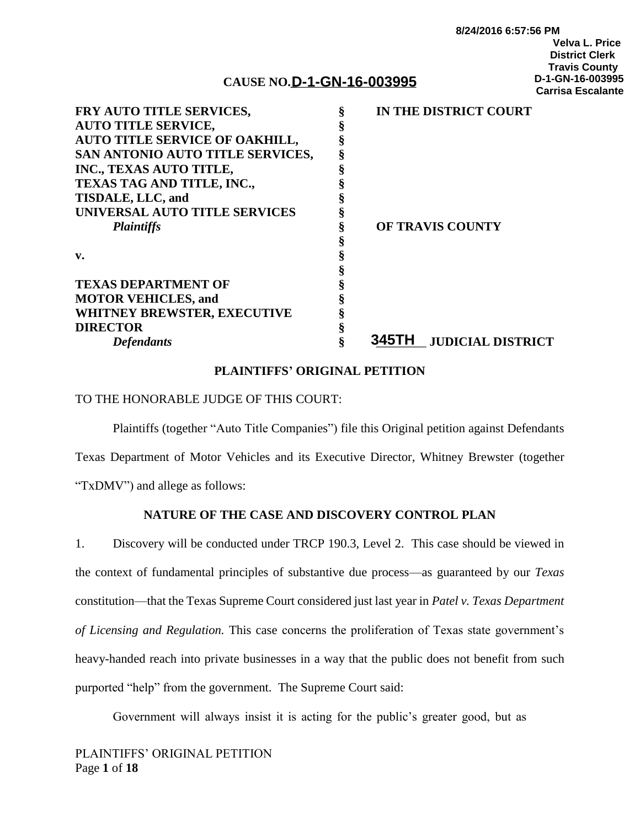#### **8/24/2016 6:57:56 PM Velva L. Price District Clerk Travis County D-1-GN-16-003995 Carrisa Escalante**

# **CAUSE NO.\_**\_\_\_\_\_\_\_\_\_\_\_\_\_\_\_\_\_\_\_ **D-1-GN-16-003995**

| FRY AUTO TITLE SERVICES,         | IN THE DISTRICT COURT             |
|----------------------------------|-----------------------------------|
| <b>AUTO TITLE SERVICE,</b>       |                                   |
| AUTO TITLE SERVICE OF OAKHILL,   |                                   |
| SAN ANTONIO AUTO TITLE SERVICES, |                                   |
| INC., TEXAS AUTO TITLE,          |                                   |
| TEXAS TAG AND TITLE, INC.,       |                                   |
| TISDALE, LLC, and                |                                   |
| UNIVERSAL AUTO TITLE SERVICES    |                                   |
| <b>Plaintiffs</b>                | <b>OF TRAVIS COUNTY</b>           |
|                                  |                                   |
| v.                               |                                   |
|                                  |                                   |
| <b>TEXAS DEPARTMENT OF</b>       |                                   |
| <b>MOTOR VEHICLES, and</b>       |                                   |
| WHITNEY BREWSTER, EXECUTIVE      |                                   |
| <b>DIRECTOR</b>                  |                                   |
| <b>Defendants</b>                | 345TH<br><b>JUDICIAL DISTRICT</b> |
|                                  |                                   |

### **PLAINTIFFS' ORIGINAL PETITION**

### TO THE HONORABLE JUDGE OF THIS COURT:

Plaintiffs (together "Auto Title Companies") file this Original petition against Defendants Texas Department of Motor Vehicles and its Executive Director, Whitney Brewster (together "TxDMV") and allege as follows:

## **NATURE OF THE CASE AND DISCOVERY CONTROL PLAN**

1. Discovery will be conducted under TRCP 190.3, Level 2. This case should be viewed in the context of fundamental principles of substantive due process—as guaranteed by our *Texas* constitution—that the Texas Supreme Court considered just last year in *Patel v. Texas Department of Licensing and Regulation.* This case concerns the proliferation of Texas state government's heavy-handed reach into private businesses in a way that the public does not benefit from such purported "help" from the government. The Supreme Court said:

Government will always insist it is acting for the public's greater good, but as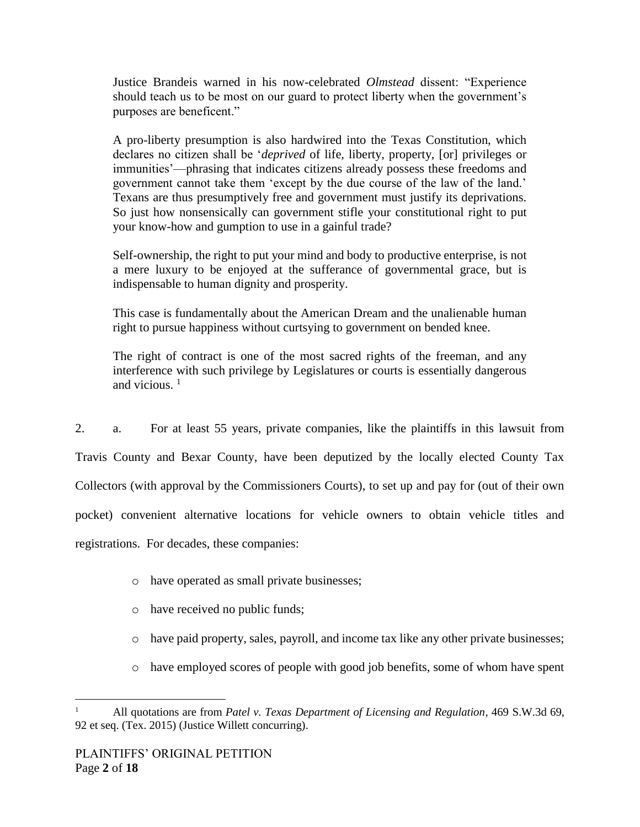Justice Brandeis warned in his now-celebrated *Olmstead* dissent: "Experience should teach us to be most on our guard to protect liberty when the government's purposes are beneficent."

A pro-liberty presumption is also hardwired into the Texas Constitution, which declares no citizen shall be '*deprived* of life, liberty, property, [or] privileges or immunities'—phrasing that indicates citizens already possess these freedoms and government cannot take them 'except by the due course of the law of the land.' Texans are thus presumptively free and government must justify its deprivations. So just how nonsensically can government stifle your constitutional right to put your know-how and gumption to use in a gainful trade?

Self-ownership, the right to put your mind and body to productive enterprise, is not a mere luxury to be enjoyed at the sufferance of governmental grace, but is indispensable to human dignity and prosperity.

This case is fundamentally about the American Dream and the unalienable human right to pursue happiness without curtsying to government on bended knee.

The right of contract is one of the most sacred rights of the freeman, and any interference with such privilege by Legislatures or courts is essentially dangerous and vicious.  $<sup>1</sup>$ </sup>

2. a. For at least 55 years, private companies, like the plaintiffs in this lawsuit from Travis County and Bexar County, have been deputized by the locally elected County Tax Collectors (with approval by the Commissioners Courts), to set up and pay for (out of their own pocket) convenient alternative locations for vehicle owners to obtain vehicle titles and registrations. For decades, these companies:

- o have operated as small private businesses;
- o have received no public funds;
- $\circ$  have paid property, sales, payroll, and income tax like any other private businesses;
- o have employed scores of people with good job benefits, some of whom have spent

 $\overline{a}$ <sup>1</sup> All quotations are from *Patel v. Texas Department of Licensing and Regulation*, 469 S.W.3d 69, 92 et seq. (Tex. 2015) (Justice Willett concurring).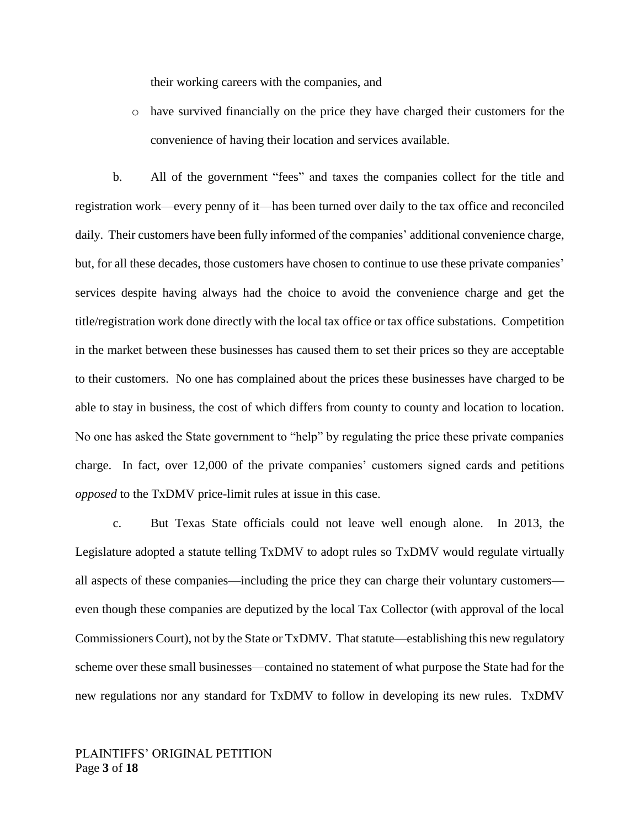their working careers with the companies, and

o have survived financially on the price they have charged their customers for the convenience of having their location and services available.

b. All of the government "fees" and taxes the companies collect for the title and registration work—every penny of it—has been turned over daily to the tax office and reconciled daily. Their customers have been fully informed of the companies' additional convenience charge, but, for all these decades, those customers have chosen to continue to use these private companies' services despite having always had the choice to avoid the convenience charge and get the title/registration work done directly with the local tax office or tax office substations. Competition in the market between these businesses has caused them to set their prices so they are acceptable to their customers. No one has complained about the prices these businesses have charged to be able to stay in business, the cost of which differs from county to county and location to location. No one has asked the State government to "help" by regulating the price these private companies charge. In fact, over 12,000 of the private companies' customers signed cards and petitions *opposed* to the TxDMV price-limit rules at issue in this case.

c. But Texas State officials could not leave well enough alone. In 2013, the Legislature adopted a statute telling TxDMV to adopt rules so TxDMV would regulate virtually all aspects of these companies—including the price they can charge their voluntary customers even though these companies are deputized by the local Tax Collector (with approval of the local Commissioners Court), not by the State or TxDMV. That statute—establishing this new regulatory scheme over these small businesses—contained no statement of what purpose the State had for the new regulations nor any standard for TxDMV to follow in developing its new rules. TxDMV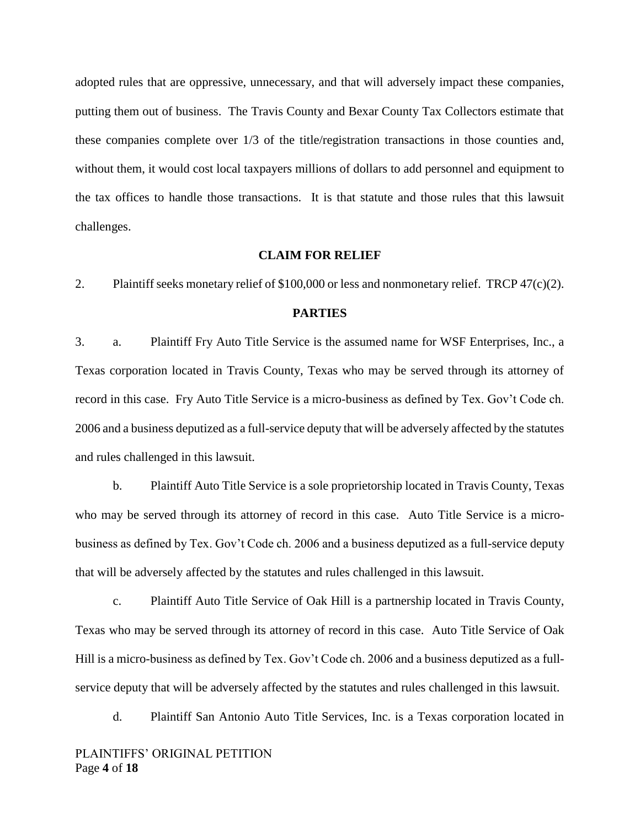adopted rules that are oppressive, unnecessary, and that will adversely impact these companies, putting them out of business. The Travis County and Bexar County Tax Collectors estimate that these companies complete over 1/3 of the title/registration transactions in those counties and, without them, it would cost local taxpayers millions of dollars to add personnel and equipment to the tax offices to handle those transactions. It is that statute and those rules that this lawsuit challenges.

#### **CLAIM FOR RELIEF**

2. Plaintiff seeks monetary relief of \$100,000 or less and nonmonetary relief. TRCP 47(c)(2).

### **PARTIES**

3. a. Plaintiff Fry Auto Title Service is the assumed name for WSF Enterprises, Inc., a Texas corporation located in Travis County, Texas who may be served through its attorney of record in this case. Fry Auto Title Service is a micro-business as defined by Tex. Gov't Code ch. 2006 and a business deputized as a full-service deputy that will be adversely affected by the statutes and rules challenged in this lawsuit.

b. Plaintiff Auto Title Service is a sole proprietorship located in Travis County, Texas who may be served through its attorney of record in this case. Auto Title Service is a microbusiness as defined by Tex. Gov't Code ch. 2006 and a business deputized as a full-service deputy that will be adversely affected by the statutes and rules challenged in this lawsuit.

c. Plaintiff Auto Title Service of Oak Hill is a partnership located in Travis County, Texas who may be served through its attorney of record in this case. Auto Title Service of Oak Hill is a micro-business as defined by Tex. Gov't Code ch. 2006 and a business deputized as a fullservice deputy that will be adversely affected by the statutes and rules challenged in this lawsuit.

d. Plaintiff San Antonio Auto Title Services, Inc. is a Texas corporation located in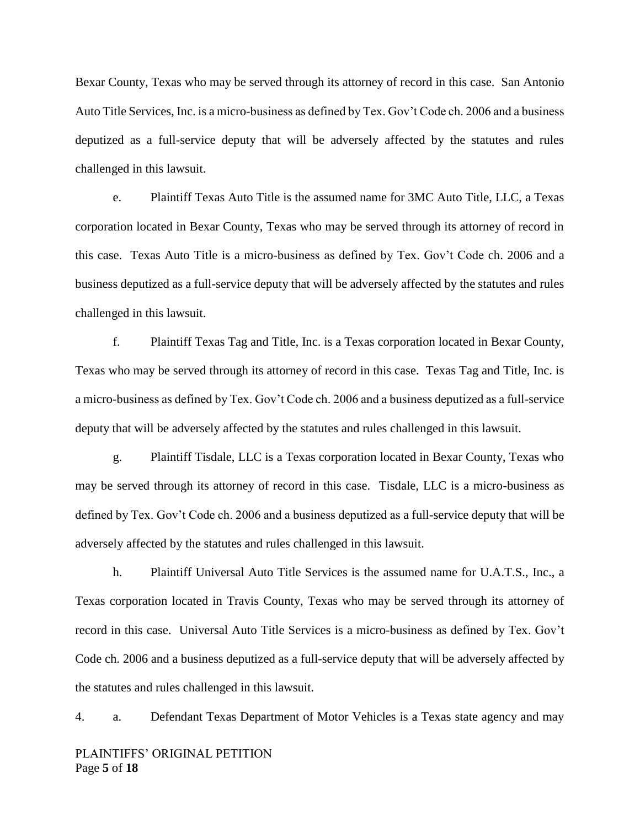Bexar County, Texas who may be served through its attorney of record in this case. San Antonio Auto Title Services, Inc. is a micro-business as defined by Tex. Gov't Code ch. 2006 and a business deputized as a full-service deputy that will be adversely affected by the statutes and rules challenged in this lawsuit.

e. Plaintiff Texas Auto Title is the assumed name for 3MC Auto Title, LLC, a Texas corporation located in Bexar County, Texas who may be served through its attorney of record in this case. Texas Auto Title is a micro-business as defined by Tex. Gov't Code ch. 2006 and a business deputized as a full-service deputy that will be adversely affected by the statutes and rules challenged in this lawsuit.

f. Plaintiff Texas Tag and Title, Inc. is a Texas corporation located in Bexar County, Texas who may be served through its attorney of record in this case. Texas Tag and Title, Inc. is a micro-business as defined by Tex. Gov't Code ch. 2006 and a business deputized as a full-service deputy that will be adversely affected by the statutes and rules challenged in this lawsuit.

g. Plaintiff Tisdale, LLC is a Texas corporation located in Bexar County, Texas who may be served through its attorney of record in this case. Tisdale, LLC is a micro-business as defined by Tex. Gov't Code ch. 2006 and a business deputized as a full-service deputy that will be adversely affected by the statutes and rules challenged in this lawsuit.

h. Plaintiff Universal Auto Title Services is the assumed name for U.A.T.S., Inc., a Texas corporation located in Travis County, Texas who may be served through its attorney of record in this case. Universal Auto Title Services is a micro-business as defined by Tex. Gov't Code ch. 2006 and a business deputized as a full-service deputy that will be adversely affected by the statutes and rules challenged in this lawsuit.

4. a. Defendant Texas Department of Motor Vehicles is a Texas state agency and may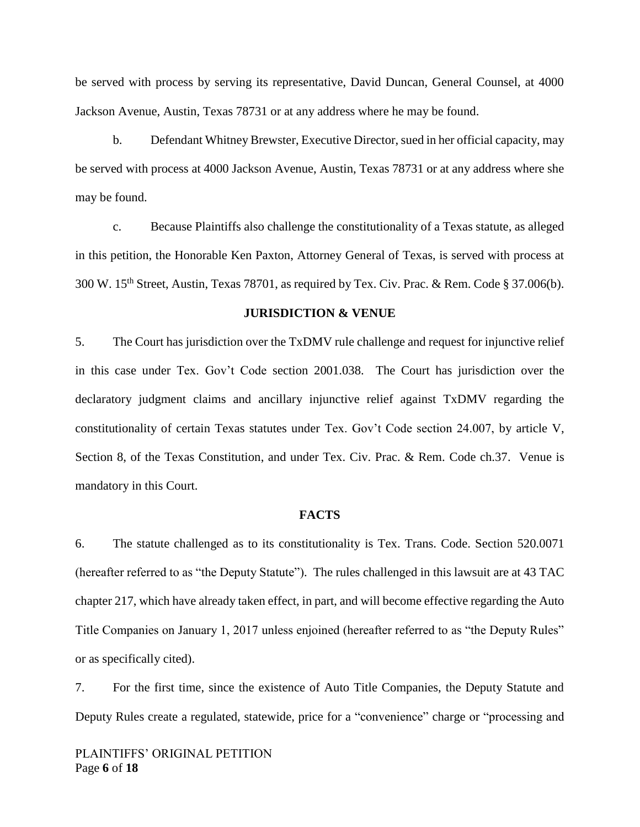be served with process by serving its representative, David Duncan, General Counsel, at 4000 Jackson Avenue, Austin, Texas 78731 or at any address where he may be found.

b. Defendant Whitney Brewster, Executive Director, sued in her official capacity, may be served with process at 4000 Jackson Avenue, Austin, Texas 78731 or at any address where she may be found.

c. Because Plaintiffs also challenge the constitutionality of a Texas statute, as alleged in this petition, the Honorable Ken Paxton, Attorney General of Texas, is served with process at 300 W. 15th Street, Austin, Texas 78701, as required by Tex. Civ. Prac. & Rem. Code § 37.006(b).

### **JURISDICTION & VENUE**

5. The Court has jurisdiction over the TxDMV rule challenge and request for injunctive relief in this case under Tex. Gov't Code section 2001.038. The Court has jurisdiction over the declaratory judgment claims and ancillary injunctive relief against TxDMV regarding the constitutionality of certain Texas statutes under Tex. Gov't Code section 24.007, by article V, Section 8, of the Texas Constitution, and under Tex. Civ. Prac. & Rem. Code ch.37. Venue is mandatory in this Court.

#### **FACTS**

6. The statute challenged as to its constitutionality is Tex. Trans. Code. Section 520.0071 (hereafter referred to as "the Deputy Statute"). The rules challenged in this lawsuit are at 43 TAC chapter 217, which have already taken effect, in part, and will become effective regarding the Auto Title Companies on January 1, 2017 unless enjoined (hereafter referred to as "the Deputy Rules" or as specifically cited).

7. For the first time, since the existence of Auto Title Companies, the Deputy Statute and Deputy Rules create a regulated, statewide, price for a "convenience" charge or "processing and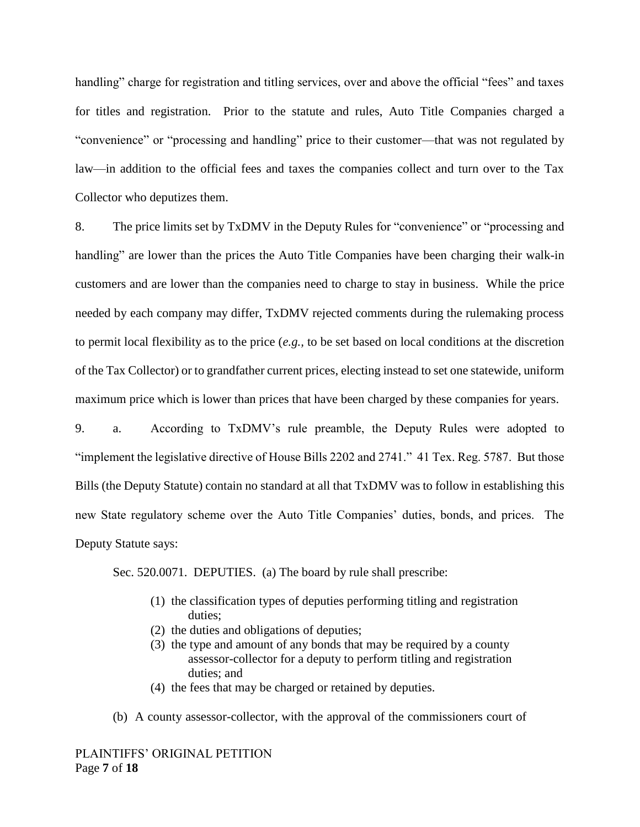handling" charge for registration and titling services, over and above the official "fees" and taxes for titles and registration. Prior to the statute and rules, Auto Title Companies charged a "convenience" or "processing and handling" price to their customer—that was not regulated by law—in addition to the official fees and taxes the companies collect and turn over to the Tax Collector who deputizes them.

8. The price limits set by TxDMV in the Deputy Rules for "convenience" or "processing and handling" are lower than the prices the Auto Title Companies have been charging their walk-in customers and are lower than the companies need to charge to stay in business. While the price needed by each company may differ, TxDMV rejected comments during the rulemaking process to permit local flexibility as to the price (*e.g.,* to be set based on local conditions at the discretion of the Tax Collector) or to grandfather current prices, electing instead to set one statewide, uniform maximum price which is lower than prices that have been charged by these companies for years.

9. a. According to TxDMV's rule preamble, the Deputy Rules were adopted to "implement the legislative directive of House Bills 2202 and 2741." 41 Tex. Reg. 5787. But those Bills (the Deputy Statute) contain no standard at all that TxDMV was to follow in establishing this new State regulatory scheme over the Auto Title Companies' duties, bonds, and prices. The Deputy Statute says:

Sec. 520.0071. DEPUTIES. (a) The board by rule shall prescribe:

- (1) the classification types of deputies performing titling and registration duties;
- (2) the duties and obligations of deputies;
- (3) the type and amount of any bonds that may be required by a county assessor-collector for a deputy to perform titling and registration duties; and
- (4) the fees that may be charged or retained by deputies.
- (b) A county assessor-collector, with the approval of the commissioners court of

PLAINTIFFS' ORIGINAL PETITION Page **7** of **18**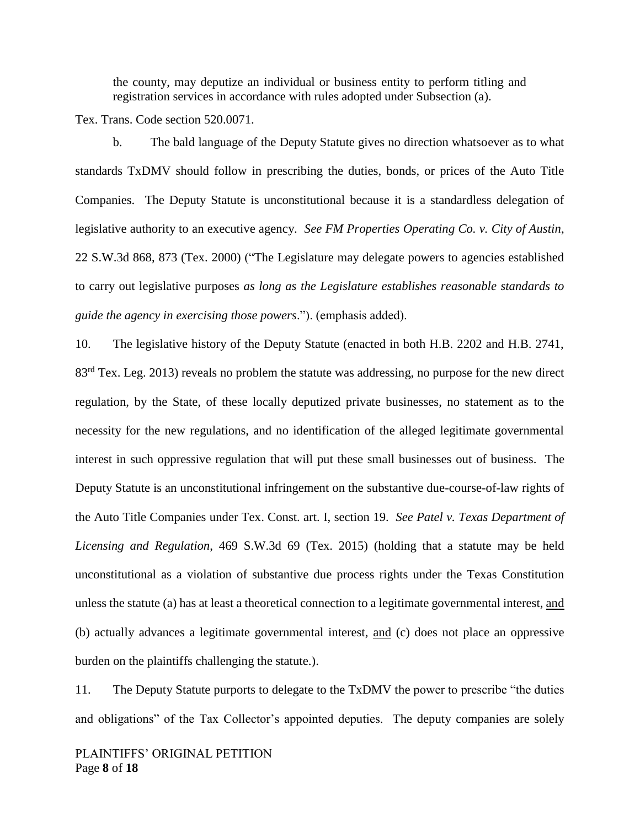the county, may deputize an individual or business entity to perform titling and registration services in accordance with rules adopted under Subsection (a).

Tex. Trans. Code section 520.0071.

b. The bald language of the Deputy Statute gives no direction whatsoever as to what standards TxDMV should follow in prescribing the duties, bonds, or prices of the Auto Title Companies. The Deputy Statute is unconstitutional because it is a standardless delegation of legislative authority to an executive agency. *See FM Properties Operating Co. v. City of Austin*, 22 S.W.3d 868, 873 (Tex. 2000) ("The Legislature may delegate powers to agencies established to carry out legislative purposes *as long as the Legislature establishes reasonable standards to guide the agency in exercising those powers*."). (emphasis added).

10. The legislative history of the Deputy Statute (enacted in both H.B. 2202 and H.B. 2741, 83<sup>rd</sup> Tex. Leg. 2013) reveals no problem the statute was addressing, no purpose for the new direct regulation, by the State, of these locally deputized private businesses, no statement as to the necessity for the new regulations, and no identification of the alleged legitimate governmental interest in such oppressive regulation that will put these small businesses out of business. The Deputy Statute is an unconstitutional infringement on the substantive due-course-of-law rights of the Auto Title Companies under Tex. Const. art. I, section 19. *See Patel v. Texas Department of Licensing and Regulation*, 469 S.W.3d 69 (Tex. 2015) (holding that a statute may be held unconstitutional as a violation of substantive due process rights under the Texas Constitution unless the statute (a) has at least a theoretical connection to a legitimate governmental interest, and (b) actually advances a legitimate governmental interest, and (c) does not place an oppressive burden on the plaintiffs challenging the statute.).

11. The Deputy Statute purports to delegate to the TxDMV the power to prescribe "the duties and obligations" of the Tax Collector's appointed deputies. The deputy companies are solely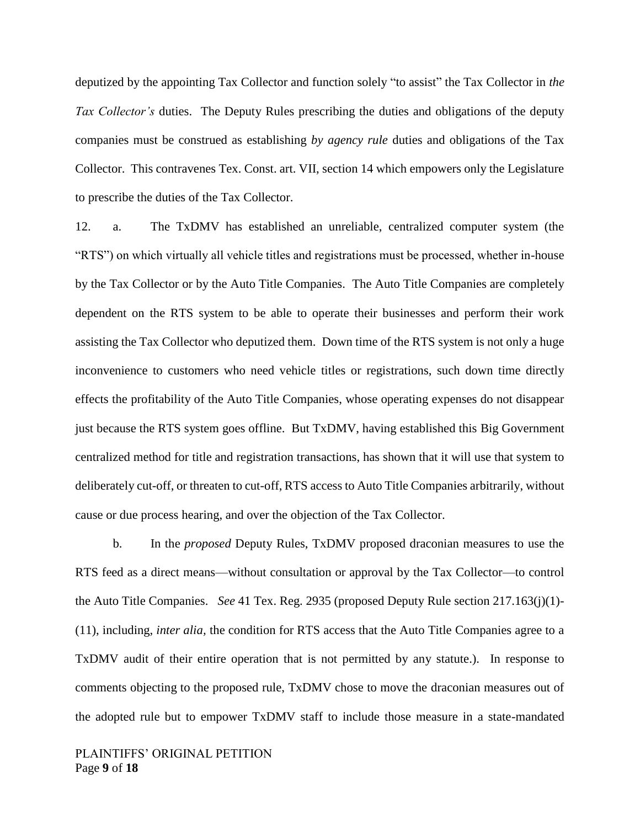deputized by the appointing Tax Collector and function solely "to assist" the Tax Collector in *the Tax Collector's* duties. The Deputy Rules prescribing the duties and obligations of the deputy companies must be construed as establishing *by agency rule* duties and obligations of the Tax Collector. This contravenes Tex. Const. art. VII, section 14 which empowers only the Legislature to prescribe the duties of the Tax Collector.

12. a. The TxDMV has established an unreliable, centralized computer system (the "RTS") on which virtually all vehicle titles and registrations must be processed, whether in-house by the Tax Collector or by the Auto Title Companies. The Auto Title Companies are completely dependent on the RTS system to be able to operate their businesses and perform their work assisting the Tax Collector who deputized them. Down time of the RTS system is not only a huge inconvenience to customers who need vehicle titles or registrations, such down time directly effects the profitability of the Auto Title Companies, whose operating expenses do not disappear just because the RTS system goes offline. But TxDMV, having established this Big Government centralized method for title and registration transactions, has shown that it will use that system to deliberately cut-off, or threaten to cut-off, RTS access to Auto Title Companies arbitrarily, without cause or due process hearing, and over the objection of the Tax Collector.

b. In the *proposed* Deputy Rules, TxDMV proposed draconian measures to use the RTS feed as a direct means—without consultation or approval by the Tax Collector—to control the Auto Title Companies. *See* 41 Tex. Reg. 2935 (proposed Deputy Rule section 217.163(j)(1)- (11), including, *inter alia,* the condition for RTS access that the Auto Title Companies agree to a TxDMV audit of their entire operation that is not permitted by any statute.). In response to comments objecting to the proposed rule, TxDMV chose to move the draconian measures out of the adopted rule but to empower TxDMV staff to include those measure in a state-mandated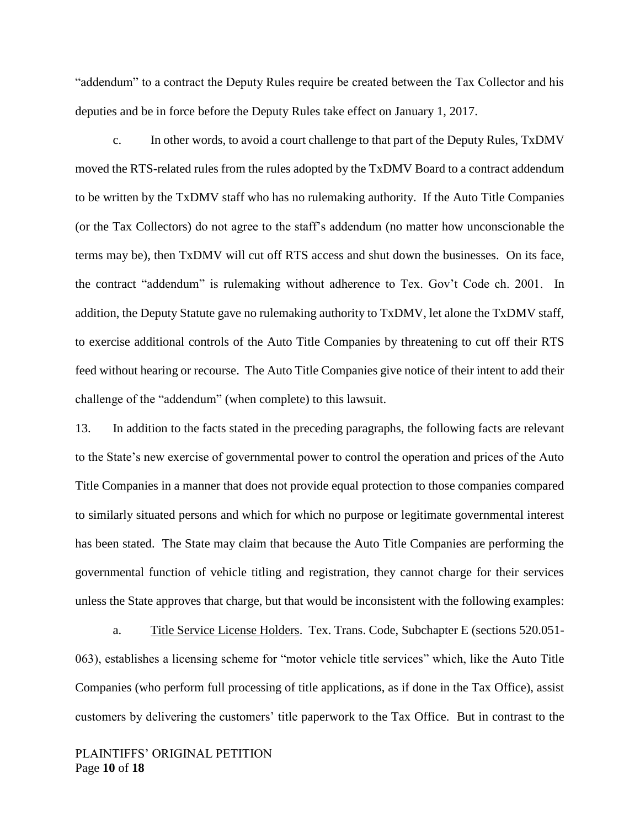"addendum" to a contract the Deputy Rules require be created between the Tax Collector and his deputies and be in force before the Deputy Rules take effect on January 1, 2017.

c. In other words, to avoid a court challenge to that part of the Deputy Rules, TxDMV moved the RTS-related rules from the rules adopted by the TxDMV Board to a contract addendum to be written by the TxDMV staff who has no rulemaking authority. If the Auto Title Companies (or the Tax Collectors) do not agree to the staff's addendum (no matter how unconscionable the terms may be), then TxDMV will cut off RTS access and shut down the businesses. On its face, the contract "addendum" is rulemaking without adherence to Tex. Gov't Code ch. 2001. In addition, the Deputy Statute gave no rulemaking authority to TxDMV, let alone the TxDMV staff, to exercise additional controls of the Auto Title Companies by threatening to cut off their RTS feed without hearing or recourse. The Auto Title Companies give notice of their intent to add their challenge of the "addendum" (when complete) to this lawsuit.

13. In addition to the facts stated in the preceding paragraphs, the following facts are relevant to the State's new exercise of governmental power to control the operation and prices of the Auto Title Companies in a manner that does not provide equal protection to those companies compared to similarly situated persons and which for which no purpose or legitimate governmental interest has been stated. The State may claim that because the Auto Title Companies are performing the governmental function of vehicle titling and registration, they cannot charge for their services unless the State approves that charge, but that would be inconsistent with the following examples:

a. Title Service License Holders. Tex. Trans. Code, Subchapter E (sections 520.051- 063), establishes a licensing scheme for "motor vehicle title services" which, like the Auto Title Companies (who perform full processing of title applications, as if done in the Tax Office), assist customers by delivering the customers' title paperwork to the Tax Office. But in contrast to the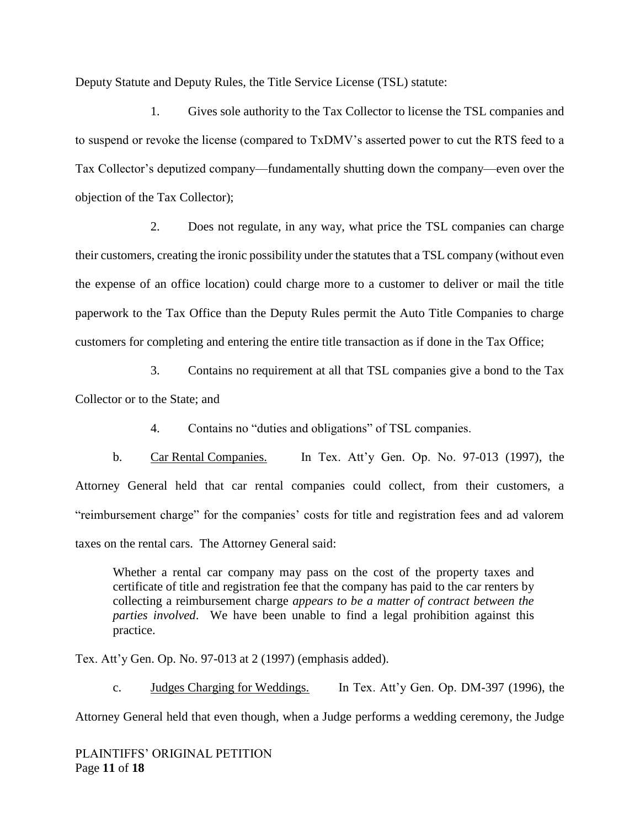Deputy Statute and Deputy Rules, the Title Service License (TSL) statute:

1. Gives sole authority to the Tax Collector to license the TSL companies and to suspend or revoke the license (compared to TxDMV's asserted power to cut the RTS feed to a Tax Collector's deputized company—fundamentally shutting down the company—even over the objection of the Tax Collector);

2. Does not regulate, in any way, what price the TSL companies can charge their customers, creating the ironic possibility under the statutes that a TSL company (without even the expense of an office location) could charge more to a customer to deliver or mail the title paperwork to the Tax Office than the Deputy Rules permit the Auto Title Companies to charge customers for completing and entering the entire title transaction as if done in the Tax Office;

3. Contains no requirement at all that TSL companies give a bond to the Tax Collector or to the State; and

4. Contains no "duties and obligations" of TSL companies.

b. Car Rental Companies. In Tex. Att'y Gen. Op. No. 97-013 (1997), the Attorney General held that car rental companies could collect, from their customers, a "reimbursement charge" for the companies' costs for title and registration fees and ad valorem taxes on the rental cars. The Attorney General said:

Whether a rental car company may pass on the cost of the property taxes and certificate of title and registration fee that the company has paid to the car renters by collecting a reimbursement charge *appears to be a matter of contract between the parties involved*. We have been unable to find a legal prohibition against this practice.

Tex. Att'y Gen. Op. No. 97-013 at 2 (1997) (emphasis added).

c. Judges Charging for Weddings. In Tex. Att'y Gen. Op. DM-397 (1996), the

Attorney General held that even though, when a Judge performs a wedding ceremony, the Judge

PLAINTIFFS' ORIGINAL PETITION Page **11** of **18**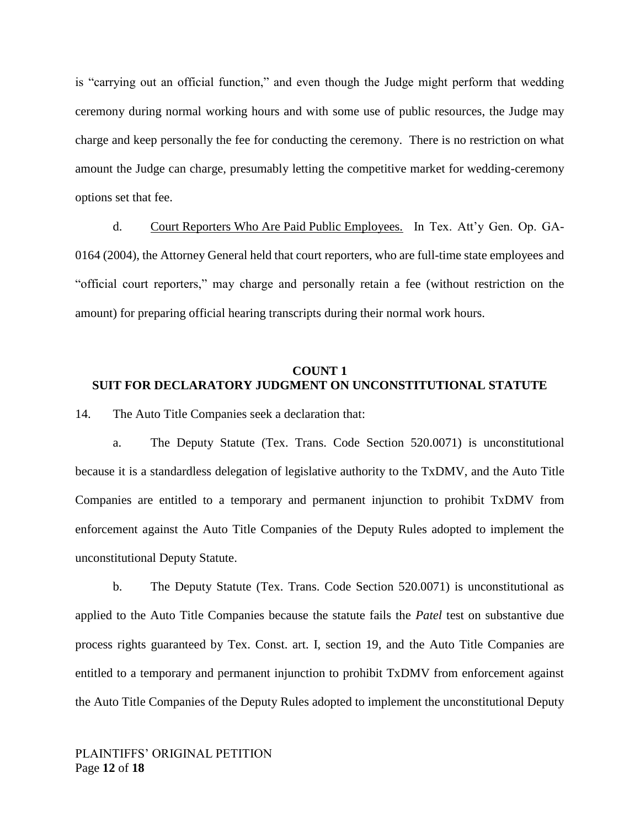is "carrying out an official function," and even though the Judge might perform that wedding ceremony during normal working hours and with some use of public resources, the Judge may charge and keep personally the fee for conducting the ceremony. There is no restriction on what amount the Judge can charge, presumably letting the competitive market for wedding-ceremony options set that fee.

d. Court Reporters Who Are Paid Public Employees. In Tex. Att'y Gen. Op. GA-0164 (2004), the Attorney General held that court reporters, who are full-time state employees and "official court reporters," may charge and personally retain a fee (without restriction on the amount) for preparing official hearing transcripts during their normal work hours.

## **COUNT 1 SUIT FOR DECLARATORY JUDGMENT ON UNCONSTITUTIONAL STATUTE**

14. The Auto Title Companies seek a declaration that:

a. The Deputy Statute (Tex. Trans. Code Section 520.0071) is unconstitutional because it is a standardless delegation of legislative authority to the TxDMV, and the Auto Title Companies are entitled to a temporary and permanent injunction to prohibit TxDMV from enforcement against the Auto Title Companies of the Deputy Rules adopted to implement the unconstitutional Deputy Statute.

b. The Deputy Statute (Tex. Trans. Code Section 520.0071) is unconstitutional as applied to the Auto Title Companies because the statute fails the *Patel* test on substantive due process rights guaranteed by Tex. Const. art. I, section 19, and the Auto Title Companies are entitled to a temporary and permanent injunction to prohibit TxDMV from enforcement against the Auto Title Companies of the Deputy Rules adopted to implement the unconstitutional Deputy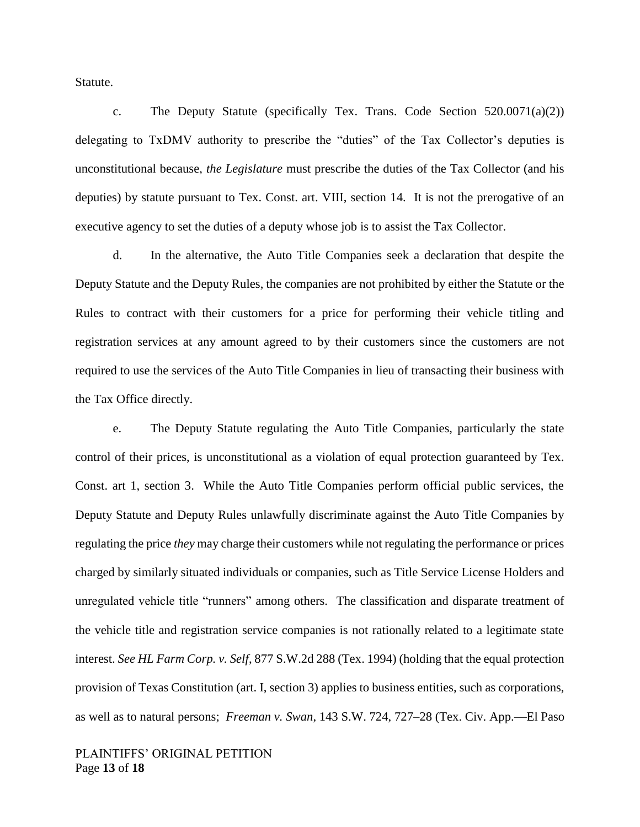Statute.

c. The Deputy Statute (specifically Tex. Trans. Code Section  $520.0071(a)(2)$ ) delegating to TxDMV authority to prescribe the "duties" of the Tax Collector's deputies is unconstitutional because, *the Legislature* must prescribe the duties of the Tax Collector (and his deputies) by statute pursuant to Tex. Const. art. VIII, section 14. It is not the prerogative of an executive agency to set the duties of a deputy whose job is to assist the Tax Collector.

d. In the alternative, the Auto Title Companies seek a declaration that despite the Deputy Statute and the Deputy Rules, the companies are not prohibited by either the Statute or the Rules to contract with their customers for a price for performing their vehicle titling and registration services at any amount agreed to by their customers since the customers are not required to use the services of the Auto Title Companies in lieu of transacting their business with the Tax Office directly.

e. The Deputy Statute regulating the Auto Title Companies, particularly the state control of their prices, is unconstitutional as a violation of equal protection guaranteed by Tex. Const. art 1, section 3. While the Auto Title Companies perform official public services, the Deputy Statute and Deputy Rules unlawfully discriminate against the Auto Title Companies by regulating the price *they* may charge their customers while not regulating the performance or prices charged by similarly situated individuals or companies, such as Title Service License Holders and unregulated vehicle title "runners" among others. The classification and disparate treatment of the vehicle title and registration service companies is not rationally related to a legitimate state interest. *See HL Farm Corp. v. Self*, 877 S.W.2d 288 (Tex. 1994) (holding that the equal protection provision of Texas Constitution (art. I, section 3) applies to business entities, such as corporations, as well as to natural persons; *Freeman v. Swan*, 143 S.W. 724, 727–28 (Tex. Civ. App.—El Paso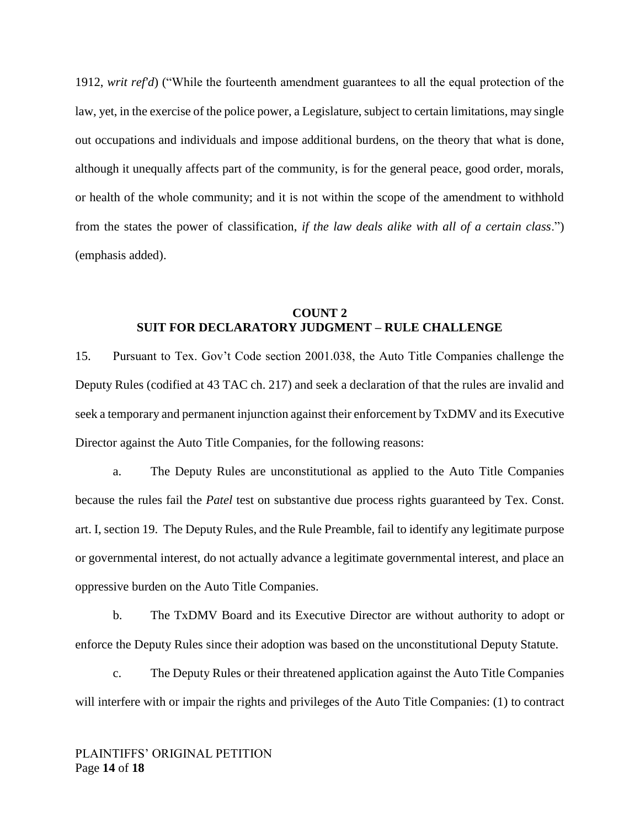1912, *writ ref'd*) ("While the fourteenth amendment guarantees to all the equal protection of the law, yet, in the exercise of the police power, a Legislature, subject to certain limitations, may single out occupations and individuals and impose additional burdens, on the theory that what is done, although it unequally affects part of the community, is for the general peace, good order, morals, or health of the whole community; and it is not within the scope of the amendment to withhold from the states the power of classification, *if the law deals alike with all of a certain class*.") (emphasis added).

## **COUNT 2 SUIT FOR DECLARATORY JUDGMENT – RULE CHALLENGE**

15. Pursuant to Tex. Gov't Code section 2001.038, the Auto Title Companies challenge the Deputy Rules (codified at 43 TAC ch. 217) and seek a declaration of that the rules are invalid and seek a temporary and permanent injunction against their enforcement by TxDMV and its Executive Director against the Auto Title Companies, for the following reasons:

a. The Deputy Rules are unconstitutional as applied to the Auto Title Companies because the rules fail the *Patel* test on substantive due process rights guaranteed by Tex. Const. art. I, section 19. The Deputy Rules, and the Rule Preamble, fail to identify any legitimate purpose or governmental interest, do not actually advance a legitimate governmental interest, and place an oppressive burden on the Auto Title Companies.

b. The TxDMV Board and its Executive Director are without authority to adopt or enforce the Deputy Rules since their adoption was based on the unconstitutional Deputy Statute.

c. The Deputy Rules or their threatened application against the Auto Title Companies will interfere with or impair the rights and privileges of the Auto Title Companies: (1) to contract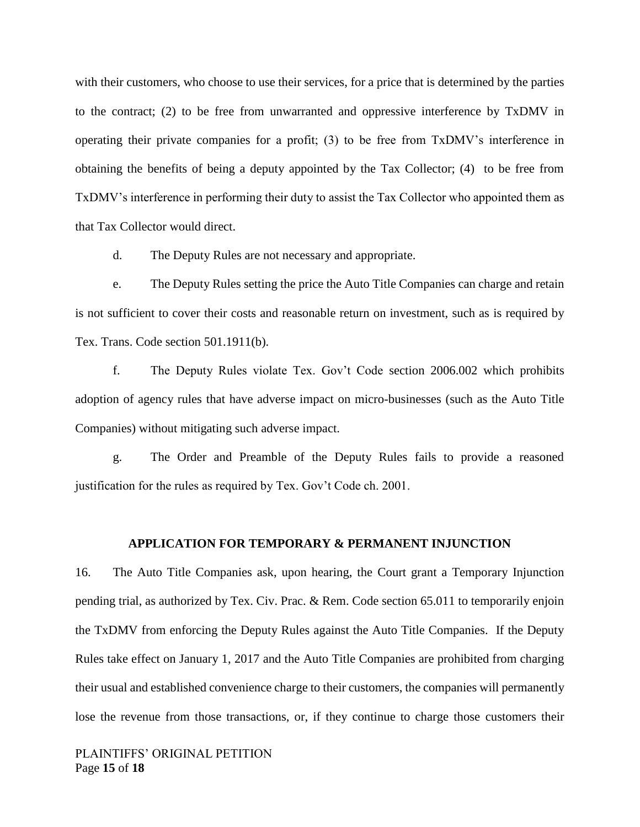with their customers, who choose to use their services, for a price that is determined by the parties to the contract; (2) to be free from unwarranted and oppressive interference by TxDMV in operating their private companies for a profit; (3) to be free from TxDMV's interference in obtaining the benefits of being a deputy appointed by the Tax Collector; (4) to be free from TxDMV's interference in performing their duty to assist the Tax Collector who appointed them as that Tax Collector would direct.

d. The Deputy Rules are not necessary and appropriate.

e. The Deputy Rules setting the price the Auto Title Companies can charge and retain is not sufficient to cover their costs and reasonable return on investment, such as is required by Tex. Trans. Code section 501.1911(b).

f. The Deputy Rules violate Tex. Gov't Code section 2006.002 which prohibits adoption of agency rules that have adverse impact on micro-businesses (such as the Auto Title Companies) without mitigating such adverse impact.

g. The Order and Preamble of the Deputy Rules fails to provide a reasoned justification for the rules as required by Tex. Gov't Code ch. 2001.

#### **APPLICATION FOR TEMPORARY & PERMANENT INJUNCTION**

16. The Auto Title Companies ask, upon hearing, the Court grant a Temporary Injunction pending trial, as authorized by Tex. Civ. Prac. & Rem. Code section 65.011 to temporarily enjoin the TxDMV from enforcing the Deputy Rules against the Auto Title Companies. If the Deputy Rules take effect on January 1, 2017 and the Auto Title Companies are prohibited from charging their usual and established convenience charge to their customers, the companies will permanently lose the revenue from those transactions, or, if they continue to charge those customers their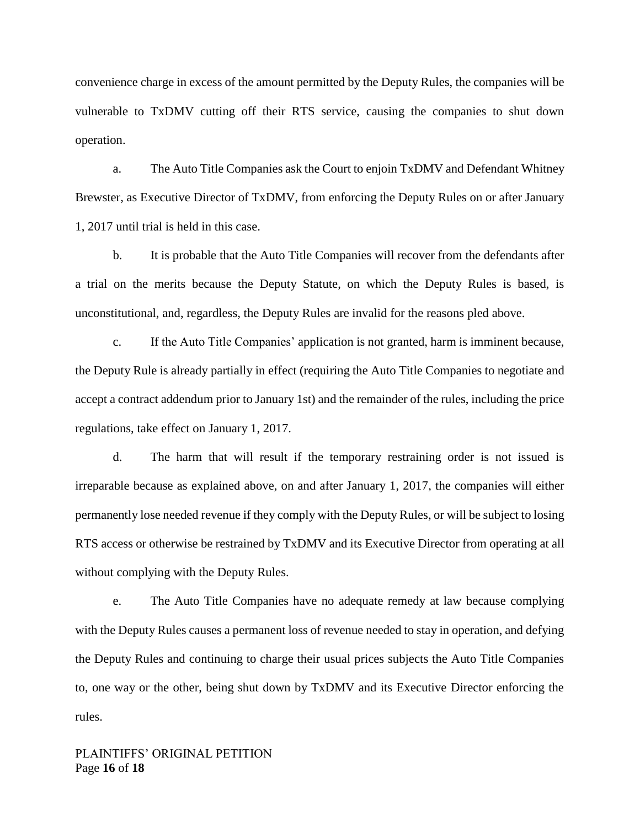convenience charge in excess of the amount permitted by the Deputy Rules, the companies will be vulnerable to TxDMV cutting off their RTS service, causing the companies to shut down operation.

a. The Auto Title Companies ask the Court to enjoin TxDMV and Defendant Whitney Brewster, as Executive Director of TxDMV, from enforcing the Deputy Rules on or after January 1, 2017 until trial is held in this case.

b. It is probable that the Auto Title Companies will recover from the defendants after a trial on the merits because the Deputy Statute, on which the Deputy Rules is based, is unconstitutional, and, regardless, the Deputy Rules are invalid for the reasons pled above.

c. If the Auto Title Companies' application is not granted, harm is imminent because, the Deputy Rule is already partially in effect (requiring the Auto Title Companies to negotiate and accept a contract addendum prior to January 1st) and the remainder of the rules, including the price regulations, take effect on January 1, 2017.

d. The harm that will result if the temporary restraining order is not issued is irreparable because as explained above, on and after January 1, 2017, the companies will either permanently lose needed revenue if they comply with the Deputy Rules, or will be subject to losing RTS access or otherwise be restrained by TxDMV and its Executive Director from operating at all without complying with the Deputy Rules.

e. The Auto Title Companies have no adequate remedy at law because complying with the Deputy Rules causes a permanent loss of revenue needed to stay in operation, and defying the Deputy Rules and continuing to charge their usual prices subjects the Auto Title Companies to, one way or the other, being shut down by TxDMV and its Executive Director enforcing the rules.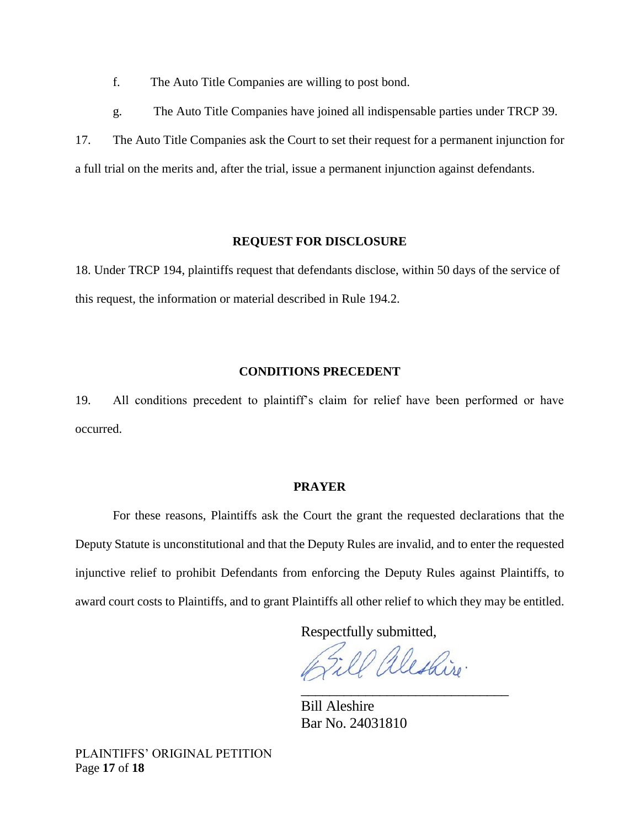f. The Auto Title Companies are willing to post bond.

g. The Auto Title Companies have joined all indispensable parties under TRCP 39.

17. The Auto Title Companies ask the Court to set their request for a permanent injunction for a full trial on the merits and, after the trial, issue a permanent injunction against defendants.

## **REQUEST FOR DISCLOSURE**

18. Under TRCP 194, plaintiffs request that defendants disclose, within 50 days of the service of this request, the information or material described in Rule 194.2.

## **CONDITIONS PRECEDENT**

19. All conditions precedent to plaintiff's claim for relief have been performed or have occurred.

## **PRAYER**

For these reasons, Plaintiffs ask the Court the grant the requested declarations that the Deputy Statute is unconstitutional and that the Deputy Rules are invalid, and to enter the requested injunctive relief to prohibit Defendants from enforcing the Deputy Rules against Plaintiffs, to award court costs to Plaintiffs, and to grant Plaintiffs all other relief to which they may be entitled.

Respectfully submitted,

aleskire. \_\_\_\_\_\_\_\_\_\_\_\_\_\_\_\_\_\_\_\_\_\_\_\_\_\_\_\_\_

Bill Aleshire Bar No. 24031810